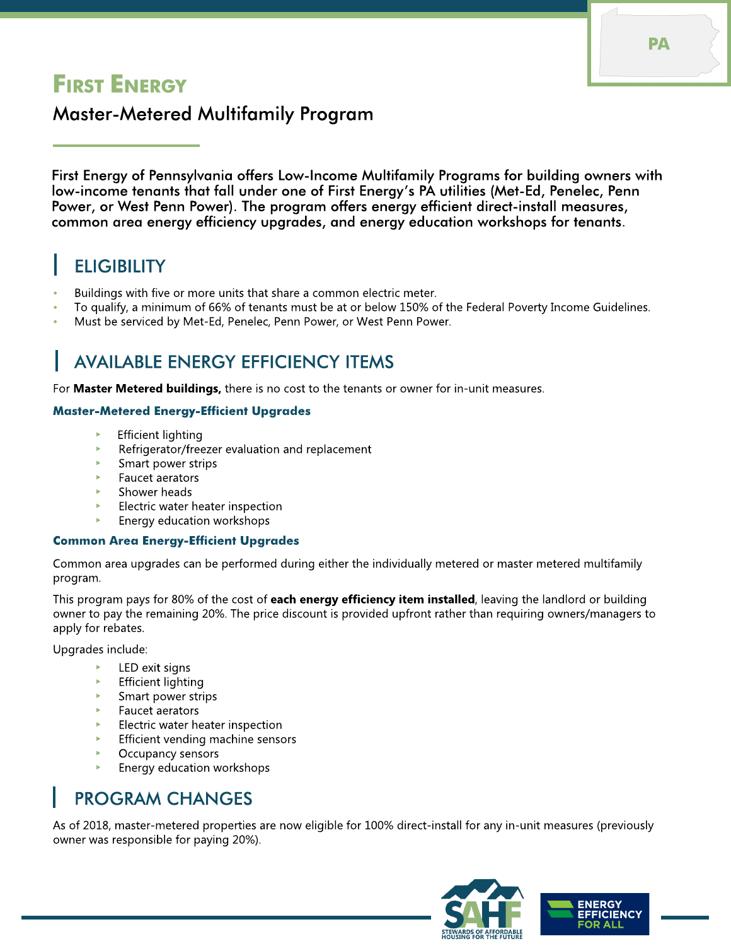# **FIRST ENERGY**

### Master-Metered Multifamily Program

First Energy of Pennsylvania offers Low-Income Multifamily Programs for building owners with low-income tenants that fall under one of First Energy's PA utilities (Met-Ed, Penelec, Penn Power, or West Penn Power). The program offers energy efficient direct-install measures, common area energy efficiency upgrades, and energy education workshops for tenants.

# **ELIGIBILITY**

- Buildings with five or more units that share a common electric meter.
- To qualify, a minimum of 66% of tenants must be at or below 150% of the Federal Poverty Income Guidelines.
- Must be serviced by Met-Ed, Penelec, Penn Power, or West Penn Power.

## **AVAILABLE ENERGY EFFICIENCY ITEMS**

For Master Metered buildings, there is no cost to the tenants or owner for in-unit measures.

#### Master-Metered Energy-Efficient Upgrades

- **Efficient lighting**
- Refrigerator/freezer evaluation and replacement
- Smart power strips
- Faucet aerators
- Shower heads
- Electric water heater inspection
- Energy education workshops

#### Common Area Energy-Efficient Upgrades

Common area upgrades can be performed during either the individually metered or master metered multifamily program.

This program pays for 80% of the cost of each energy efficiency item installed, leaving the landlord or building owner to pay the remaining 20%. The price discount is provided upfront rather than requiring owners/managers to apply for rebates.

Upgrades include:

- LED exit signs
- **Efficient lighting**
- Smart power strips
- Faucet aerators
- Electric water heater inspection
- Efficient vending machine sensors
- Occupancy sensors
- Energy education workshops

### PROGRAM CHANGES

As of 2018, master-metered properties are now eligible for 100% direct-install for any in-unit measures (previously owner was responsible for paying 20%).